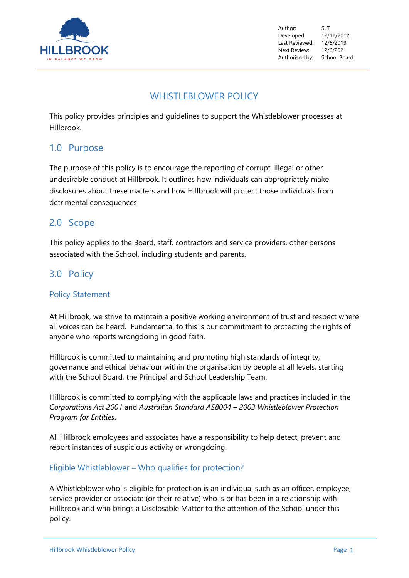

Author: SLT Developed: 12/12/2012 Last Reviewed: 12/6/2019 Next Review: 12/6/2021 Authorised by: School Board

# WHISTLEBLOWER POLICY

This policy provides principles and guidelines to support the Whistleblower processes at Hillbrook.

# 1.0 Purpose

The purpose of this policy is to encourage the reporting of corrupt, illegal or other undesirable conduct at Hillbrook. It outlines how individuals can appropriately make disclosures about these matters and how Hillbrook will protect those individuals from detrimental consequences

# 2.0 Scope

This policy applies to the Board, staff, contractors and service providers, other persons associated with the School, including students and parents.

# 3.0 Policy

#### Policy Statement

At Hillbrook, we strive to maintain a positive working environment of trust and respect where all voices can be heard. Fundamental to this is our commitment to protecting the rights of anyone who reports wrongdoing in good faith.

Hillbrook is committed to maintaining and promoting high standards of integrity, governance and ethical behaviour within the organisation by people at all levels, starting with the School Board, the Principal and School Leadership Team.

Hillbrook is committed to complying with the applicable laws and practices included in the *Corporations Act 2001* and *Australian Standard AS8004 – 2003 Whistleblower Protection Program for Entities*.

All Hillbrook employees and associates have a responsibility to help detect, prevent and report instances of suspicious activity or wrongdoing.

#### Eligible Whistleblower – Who qualifies for protection?

A Whistleblower who is eligible for protection is an individual such as an officer, employee, service provider or associate (or their relative) who is or has been in a relationship with Hillbrook and who brings a Disclosable Matter to the attention of the School under this policy.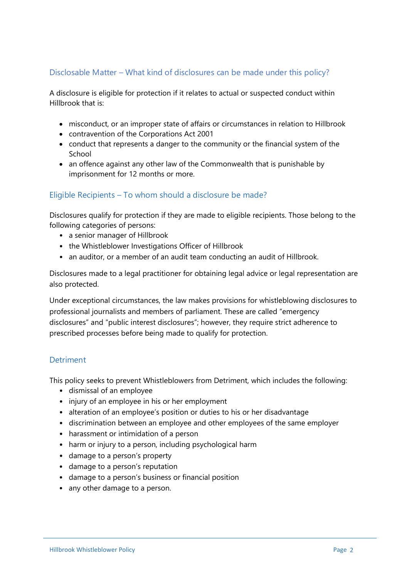## Disclosable Matter – What kind of disclosures can be made under this policy?

A disclosure is eligible for protection if it relates to actual or suspected conduct within Hillbrook that is:

- misconduct, or an improper state of affairs or circumstances in relation to Hillbrook
- contravention of the Corporations Act 2001
- conduct that represents a danger to the community or the financial system of the School
- an offence against any other law of the Commonwealth that is punishable by imprisonment for 12 months or more.

## Eligible Recipients – To whom should a disclosure be made?

Disclosures qualify for protection if they are made to eligible recipients. Those belong to the following categories of persons:

- a senior manager of Hillbrook
- the Whistleblower Investigations Officer of Hillbrook
- an auditor, or a member of an audit team conducting an audit of Hillbrook.

Disclosures made to a legal practitioner for obtaining legal advice or legal representation are also protected.

Under exceptional circumstances, the law makes provisions for whistleblowing disclosures to professional journalists and members of parliament. These are called "emergency disclosures" and "public interest disclosures"; however, they require strict adherence to prescribed processes before being made to qualify for protection.

#### **Detriment**

This policy seeks to prevent Whistleblowers from Detriment, which includes the following:

- dismissal of an employee
- injury of an employee in his or her employment
- alteration of an employee's position or duties to his or her disadvantage
- discrimination between an employee and other employees of the same employer
- harassment or intimidation of a person
- harm or injury to a person, including psychological harm
- damage to a person's property
- damage to a person's reputation
- damage to a person's business or financial position
- any other damage to a person.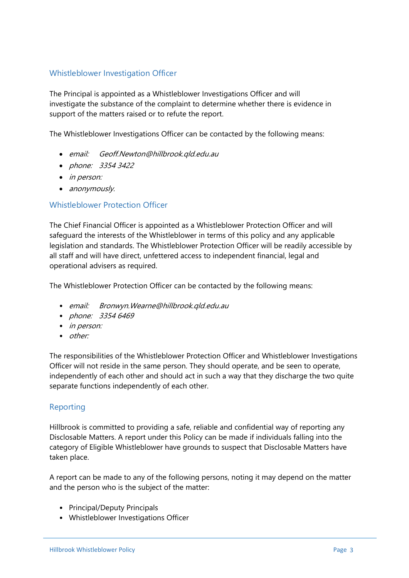#### Whistleblower Investigation Officer

The Principal is appointed as a Whistleblower Investigations Officer and will investigate the substance of the complaint to determine whether there is evidence in support of the matters raised or to refute the report.

The Whistleblower Investigations Officer can be contacted by the following means:

- email: Geoff.Newton@hillbrook.qld.edu.au
- phone: 3354 3422
- *in person:*
- anonymously.

#### Whistleblower Protection Officer

The Chief Financial Officer is appointed as a Whistleblower Protection Officer and will safeguard the interests of the Whistleblower in terms of this policy and any applicable legislation and standards. The Whistleblower Protection Officer will be readily accessible by all staff and will have direct, unfettered access to independent financial, legal and operational advisers as required.

The Whistleblower Protection Officer can be contacted by the following means:

- email: Bronwyn.Wearne@hillbrook.qld.edu.au
- phone: 3354 6469
- *in person:*
- other:

The responsibilities of the Whistleblower Protection Officer and Whistleblower Investigations Officer will not reside in the same person. They should operate, and be seen to operate, independently of each other and should act in such a way that they discharge the two quite separate functions independently of each other.

## Reporting

Hillbrook is committed to providing a safe, reliable and confidential way of reporting any Disclosable Matters. A report under this Policy can be made if individuals falling into the category of Eligible Whistleblower have grounds to suspect that Disclosable Matters have taken place.

A report can be made to any of the following persons, noting it may depend on the matter and the person who is the subject of the matter:

- Principal/Deputy Principals
- Whistleblower Investigations Officer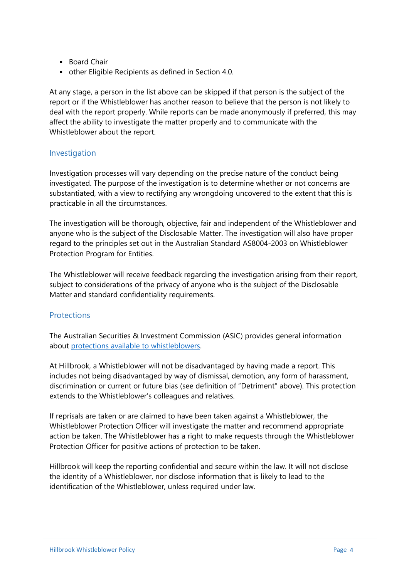- Board Chair
- other Eligible Recipients as defined in Section 4.0.

At any stage, a person in the list above can be skipped if that person is the subject of the report or if the Whistleblower has another reason to believe that the person is not likely to deal with the report properly. While reports can be made anonymously if preferred, this may affect the ability to investigate the matter properly and to communicate with the Whistleblower about the report.

#### Investigation

Investigation processes will vary depending on the precise nature of the conduct being investigated. The purpose of the investigation is to determine whether or not concerns are substantiated, with a view to rectifying any wrongdoing uncovered to the extent that this is practicable in all the circumstances.

The investigation will be thorough, objective, fair and independent of the Whistleblower and anyone who is the subject of the Disclosable Matter. The investigation will also have proper regard to the principles set out in the Australian Standard AS8004-2003 on Whistleblower Protection Program for Entities.

The Whistleblower will receive feedback regarding the investigation arising from their report, subject to considerations of the privacy of anyone who is the subject of the Disclosable Matter and standard confidentiality requirements.

## **Protections**

The Australian Securities & Investment Commission (ASIC) provides general information about [protections available to whistleblowers.](https://asic.gov.au/about-asic/asic-investigations-and-enforcement/whistleblowing/guidance-for-whistleblowers/) 

At Hillbrook, a Whistleblower will not be disadvantaged by having made a report. This includes not being disadvantaged by way of dismissal, demotion, any form of harassment, discrimination or current or future bias (see definition of "Detriment" above). This protection extends to the Whistleblower's colleagues and relatives.

If reprisals are taken or are claimed to have been taken against a Whistleblower, the Whistleblower Protection Officer will investigate the matter and recommend appropriate action be taken. The Whistleblower has a right to make requests through the Whistleblower Protection Officer for positive actions of protection to be taken.

Hillbrook will keep the reporting confidential and secure within the law. It will not disclose the identity of a Whistleblower, nor disclose information that is likely to lead to the identification of the Whistleblower, unless required under law.